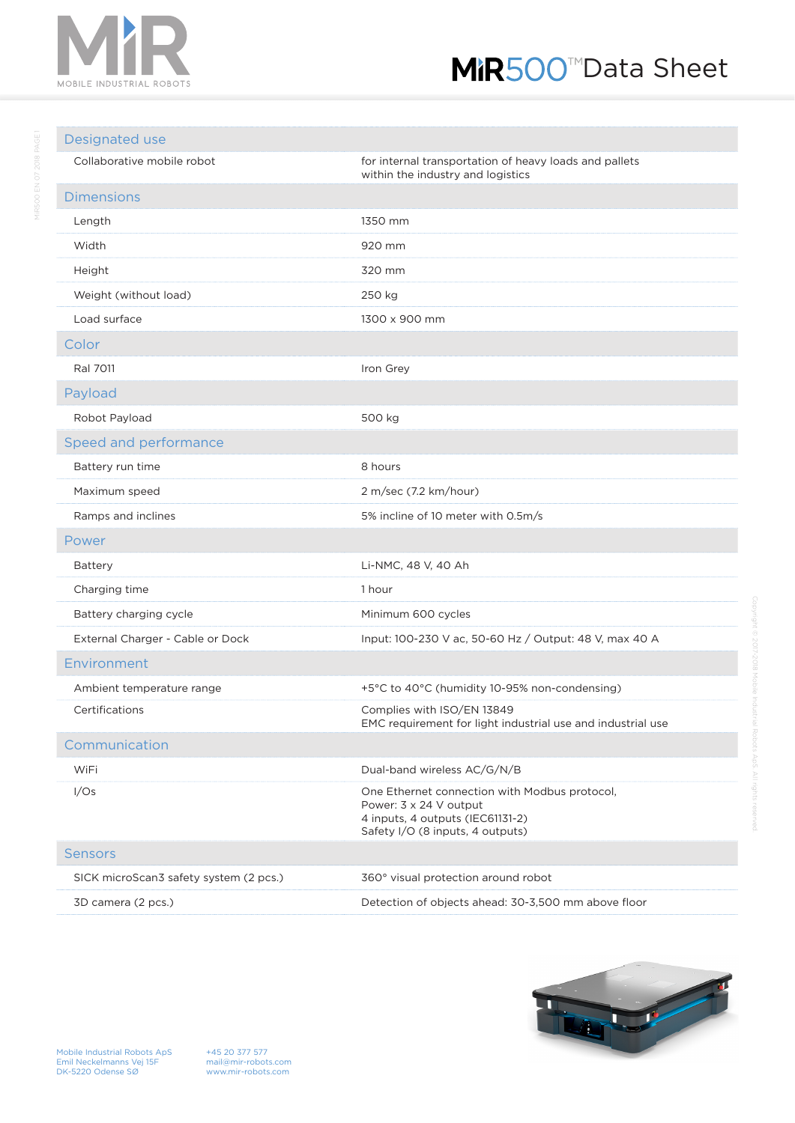

## MiR500<sup>™</sup>Data Sheet

## Designated use Collaborative mobile robot **for internal transportation of heavy loads and pallets** within the industry and logistics Dimensions Length 1350 mm Width 920 mm Height 320 mm Weight (without load) 250 kg Load surface 1300 x 900 mm Color Ral 7011 **Iron Grey** Payload Robot Payload 500 kg Speed and performance Battery run time 8 hours Maximum speed 2 m/sec (7.2 km/hour) Ramps and inclines The South 10 meter with 0.5m/s Power Battery Li-NMC, 48 V, 40 Ah Charging time 1 hour Battery charging cycle Minimum 600 cycles External Charger - Cable or Dock Input: 100-230 V ac, 50-60 Hz / Output: 48 V, max 40 A Environment Ambient temperature range  $+5^{\circ}$ C to 40°C (humidity 10-95% non-condensing) Certifications Complies with ISO/EN 13849 EMC requirement for light industrial use and industrial use Communication WiFi Dual-band wireless AC/G/N/B I/Os One Ethernet connection with Modbus protocol, Power: 3 x 24 V output 4 inputs, 4 outputs (IEC61131-2) Safety I/O (8 inputs, 4 outputs) Sensors SICK microScan3 safety system (2 pcs.) 360° visual protection around robot

3D camera (2 pcs.) Detection of objects ahead: 30-3,500 mm above floor



+45 20 377 577 mail@mir-robots.com www.mir-robots.com